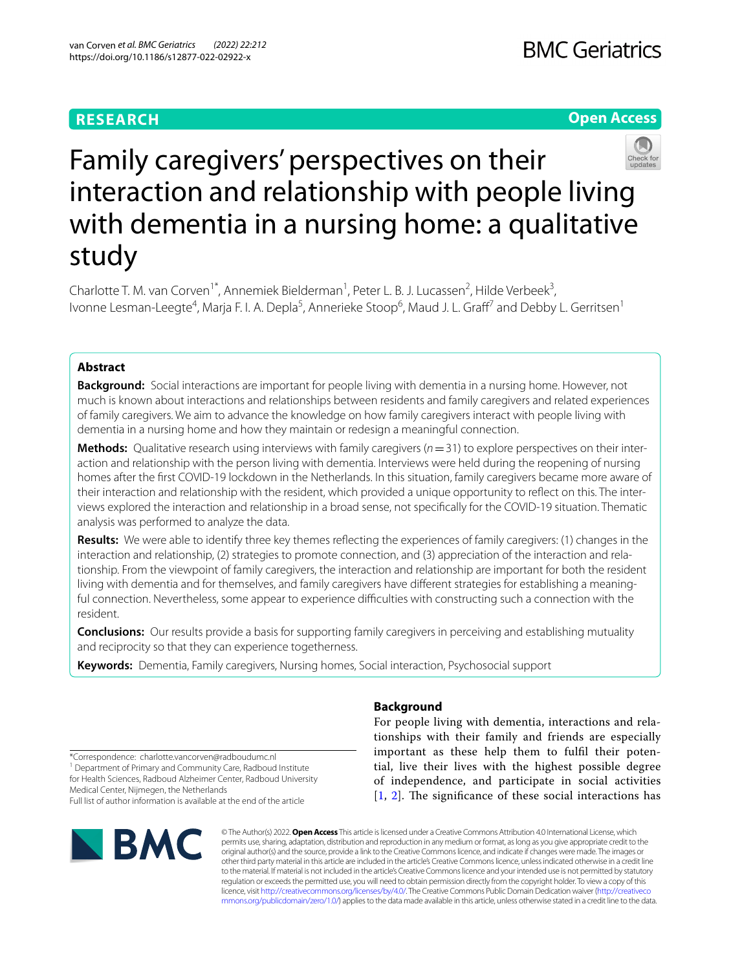### **RESEARCH**

#### **Open Access**



# Family caregivers' perspectives on their interaction and relationship with people living with dementia in a nursing home: a qualitative study

Charlotte T. M. van Corven<sup>1\*</sup>, Annemiek Bielderman<sup>1</sup>, Peter L. B. J. Lucassen<sup>2</sup>, Hilde Verbeek<sup>3</sup>, Ivonne Lesman-Leegte<sup>4</sup>, Marja F. I. A. Depla<sup>5</sup>, Annerieke Stoop<sup>6</sup>, Maud J. L. Graff<sup>7</sup> and Debby L. Gerritsen<sup>1</sup>

#### **Abstract**

**Background:** Social interactions are important for people living with dementia in a nursing home. However, not much is known about interactions and relationships between residents and family caregivers and related experiences of family caregivers. We aim to advance the knowledge on how family caregivers interact with people living with dementia in a nursing home and how they maintain or redesign a meaningful connection.

**Methods:** Qualitative research using interviews with family caregivers ( $n=31$ ) to explore perspectives on their interaction and relationship with the person living with dementia. Interviews were held during the reopening of nursing homes after the frst COVID-19 lockdown in the Netherlands. In this situation, family caregivers became more aware of their interaction and relationship with the resident, which provided a unique opportunity to reflect on this. The interviews explored the interaction and relationship in a broad sense, not specifcally for the COVID-19 situation. Thematic analysis was performed to analyze the data.

**Results:** We were able to identify three key themes refecting the experiences of family caregivers: (1) changes in the interaction and relationship, (2) strategies to promote connection, and (3) appreciation of the interaction and relationship. From the viewpoint of family caregivers, the interaction and relationship are important for both the resident living with dementia and for themselves, and family caregivers have different strategies for establishing a meaningful connection. Nevertheless, some appear to experience difficulties with constructing such a connection with the resident.

**Conclusions:** Our results provide a basis for supporting family caregivers in perceiving and establishing mutuality and reciprocity so that they can experience togetherness.

**Keywords:** Dementia, Family caregivers, Nursing homes, Social interaction, Psychosocial support

\*Correspondence: charlotte.vancorven@radboudumc.nl <sup>1</sup> Department of Primary and Community Care, Radboud Institute

for Health Sciences, Radboud Alzheimer Center, Radboud University Medical Center, Nijmegen, the Netherlands Full list of author information is available at the end of the article

# **BMC**

#### **Background**

For people living with dementia, interactions and relationships with their family and friends are especially important as these help them to fulfl their potential, live their lives with the highest possible degree of independence, and participate in social activities  $[1, 2]$  $[1, 2]$  $[1, 2]$  $[1, 2]$  $[1, 2]$ . The significance of these social interactions has

© The Author(s) 2022. **Open Access** This article is licensed under a Creative Commons Attribution 4.0 International License, which permits use, sharing, adaptation, distribution and reproduction in any medium or format, as long as you give appropriate credit to the original author(s) and the source, provide a link to the Creative Commons licence, and indicate if changes were made. The images or other third party material in this article are included in the article's Creative Commons licence, unless indicated otherwise in a credit line to the material. If material is not included in the article's Creative Commons licence and your intended use is not permitted by statutory regulation or exceeds the permitted use, you will need to obtain permission directly from the copyright holder. To view a copy of this licence, visit [http://creativecommons.org/licenses/by/4.0/.](http://creativecommons.org/licenses/by/4.0/) The Creative Commons Public Domain Dedication waiver ([http://creativeco](http://creativecommons.org/publicdomain/zero/1.0/) [mmons.org/publicdomain/zero/1.0/](http://creativecommons.org/publicdomain/zero/1.0/)) applies to the data made available in this article, unless otherwise stated in a credit line to the data.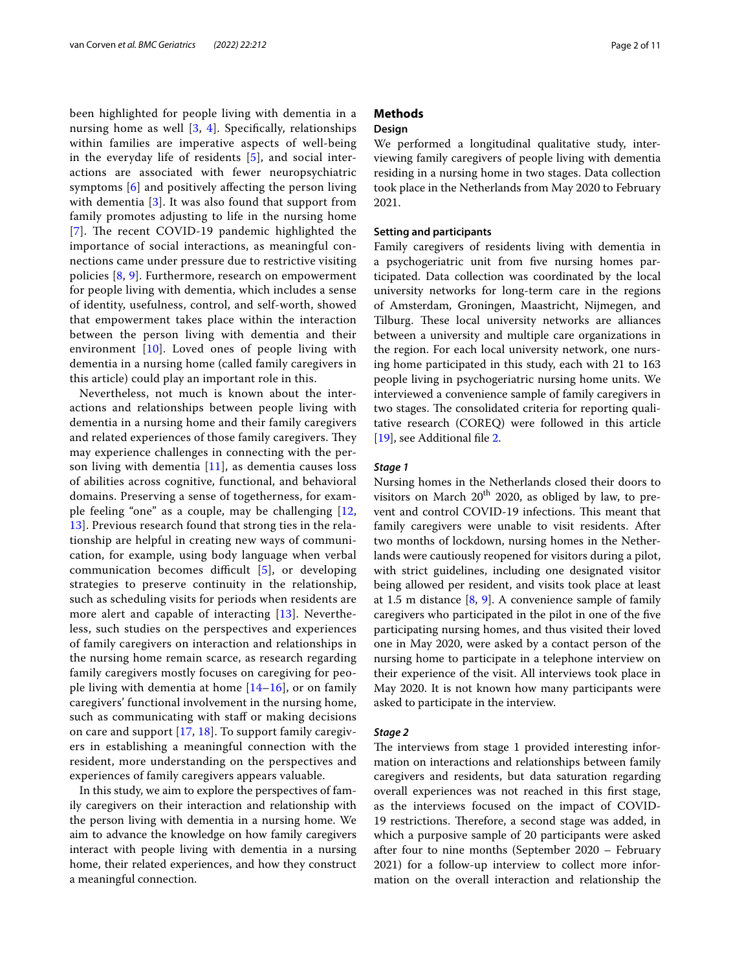been highlighted for people living with dementia in a nursing home as well  $[3, 4]$  $[3, 4]$  $[3, 4]$  $[3, 4]$  $[3, 4]$ . Specifically, relationships within families are imperative aspects of well-being in the everyday life of residents [[5](#page-10-4)], and social interactions are associated with fewer neuropsychiatric symptoms [\[6](#page-10-5)] and positively afecting the person living with dementia [\[3](#page-10-2)]. It was also found that support from family promotes adjusting to life in the nursing home [[7](#page-10-6)]. The recent COVID-19 pandemic highlighted the importance of social interactions, as meaningful connections came under pressure due to restrictive visiting policies [[8](#page-10-7), [9](#page-10-8)]. Furthermore, research on empowerment for people living with dementia, which includes a sense of identity, usefulness, control, and self-worth, showed that empowerment takes place within the interaction between the person living with dementia and their environment [\[10\]](#page-10-9). Loved ones of people living with dementia in a nursing home (called family caregivers in this article) could play an important role in this.

Nevertheless, not much is known about the interactions and relationships between people living with dementia in a nursing home and their family caregivers and related experiences of those family caregivers. They may experience challenges in connecting with the person living with dementia [[11](#page-10-10)], as dementia causes loss of abilities across cognitive, functional, and behavioral domains. Preserving a sense of togetherness, for example feeling "one" as a couple, may be challenging [\[12](#page-10-11), [13\]](#page-10-12). Previous research found that strong ties in the relationship are helpful in creating new ways of communication, for example, using body language when verbal communication becomes difficult  $[5]$  $[5]$ , or developing strategies to preserve continuity in the relationship, such as scheduling visits for periods when residents are more alert and capable of interacting [[13\]](#page-10-12). Nevertheless, such studies on the perspectives and experiences of family caregivers on interaction and relationships in the nursing home remain scarce, as research regarding family caregivers mostly focuses on caregiving for people living with dementia at home  $[14–16]$  $[14–16]$  $[14–16]$ , or on family caregivers' functional involvement in the nursing home, such as communicating with staff or making decisions on care and support [[17,](#page-10-15) [18](#page-10-16)]. To support family caregivers in establishing a meaningful connection with the resident, more understanding on the perspectives and experiences of family caregivers appears valuable.

In this study, we aim to explore the perspectives of family caregivers on their interaction and relationship with the person living with dementia in a nursing home. We aim to advance the knowledge on how family caregivers interact with people living with dementia in a nursing home, their related experiences, and how they construct a meaningful connection.

#### **Methods**

#### **Design**

We performed a longitudinal qualitative study, interviewing family caregivers of people living with dementia residing in a nursing home in two stages. Data collection took place in the Netherlands from May 2020 to February 2021.

#### **Setting and participants**

Family caregivers of residents living with dementia in a psychogeriatric unit from fve nursing homes participated. Data collection was coordinated by the local university networks for long-term care in the regions of Amsterdam, Groningen, Maastricht, Nijmegen, and Tilburg. These local university networks are alliances between a university and multiple care organizations in the region. For each local university network, one nursing home participated in this study, each with 21 to 163 people living in psychogeriatric nursing home units. We interviewed a convenience sample of family caregivers in two stages. The consolidated criteria for reporting qualitative research (COREQ) were followed in this article [[19\]](#page-10-17), see Additional fle [2](#page-9-0).

#### *Stage 1*

Nursing homes in the Netherlands closed their doors to visitors on March  $20^{th}$  2020, as obliged by law, to prevent and control COVID-19 infections. This meant that family caregivers were unable to visit residents. After two months of lockdown, nursing homes in the Netherlands were cautiously reopened for visitors during a pilot, with strict guidelines, including one designated visitor being allowed per resident, and visits took place at least at 1.5 m distance  $[8, 9]$  $[8, 9]$  $[8, 9]$ . A convenience sample of family caregivers who participated in the pilot in one of the fve participating nursing homes, and thus visited their loved one in May 2020, were asked by a contact person of the nursing home to participate in a telephone interview on their experience of the visit. All interviews took place in May 2020. It is not known how many participants were asked to participate in the interview.

#### *Stage 2*

The interviews from stage 1 provided interesting information on interactions and relationships between family caregivers and residents, but data saturation regarding overall experiences was not reached in this frst stage, as the interviews focused on the impact of COVID-19 restrictions. Therefore, a second stage was added, in which a purposive sample of 20 participants were asked after four to nine months (September 2020 – February 2021) for a follow-up interview to collect more information on the overall interaction and relationship the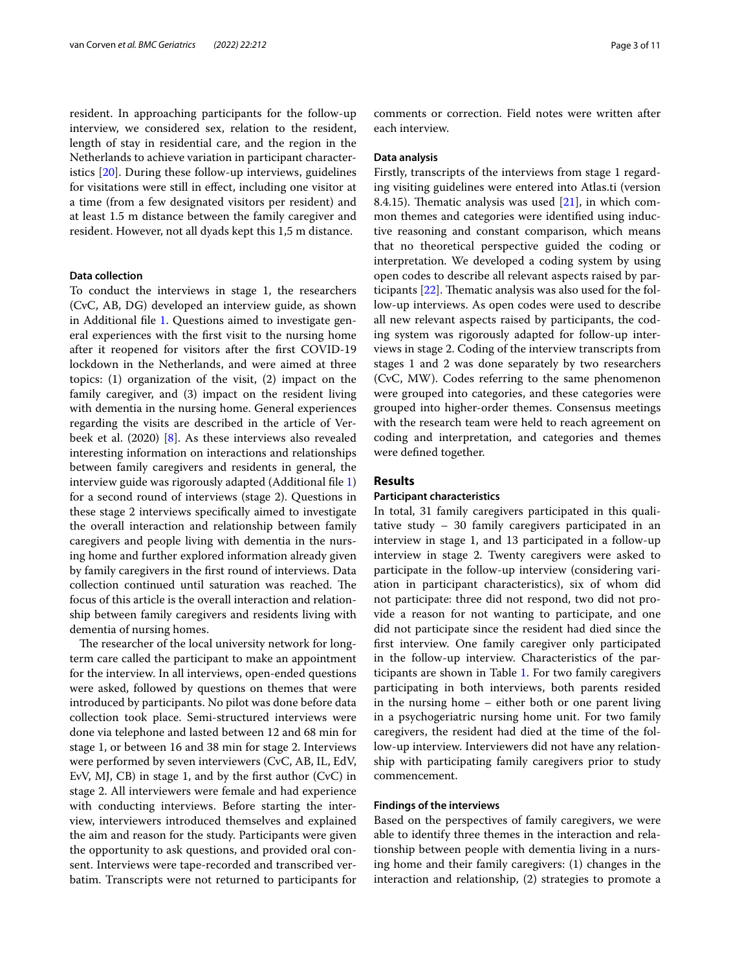resident. In approaching participants for the follow-up interview, we considered sex, relation to the resident, length of stay in residential care, and the region in the Netherlands to achieve variation in participant characteristics [[20](#page-10-18)]. During these follow-up interviews, guidelines for visitations were still in efect, including one visitor at a time (from a few designated visitors per resident) and at least 1.5 m distance between the family caregiver and resident. However, not all dyads kept this 1,5 m distance.

#### **Data collection**

To conduct the interviews in stage 1, the researchers (CvC, AB, DG) developed an interview guide, as shown in Additional fle [1](#page-9-1). Questions aimed to investigate general experiences with the frst visit to the nursing home after it reopened for visitors after the frst COVID-19 lockdown in the Netherlands, and were aimed at three topics: (1) organization of the visit, (2) impact on the family caregiver, and (3) impact on the resident living with dementia in the nursing home. General experiences regarding the visits are described in the article of Verbeek et al. (2020) [[8\]](#page-10-7). As these interviews also revealed interesting information on interactions and relationships between family caregivers and residents in general, the interview guide was rigorously adapted (Additional fle [1](#page-9-1)) for a second round of interviews (stage 2). Questions in these stage 2 interviews specifcally aimed to investigate the overall interaction and relationship between family caregivers and people living with dementia in the nursing home and further explored information already given by family caregivers in the frst round of interviews. Data collection continued until saturation was reached. The focus of this article is the overall interaction and relationship between family caregivers and residents living with dementia of nursing homes.

The researcher of the local university network for longterm care called the participant to make an appointment for the interview. In all interviews, open-ended questions were asked, followed by questions on themes that were introduced by participants. No pilot was done before data collection took place. Semi-structured interviews were done via telephone and lasted between 12 and 68 min for stage 1, or between 16 and 38 min for stage 2. Interviews were performed by seven interviewers (CvC, AB, IL, EdV, EvV, MJ, CB) in stage 1, and by the frst author (CvC) in stage 2. All interviewers were female and had experience with conducting interviews. Before starting the interview, interviewers introduced themselves and explained the aim and reason for the study. Participants were given the opportunity to ask questions, and provided oral consent. Interviews were tape-recorded and transcribed verbatim. Transcripts were not returned to participants for comments or correction. Field notes were written after each interview.

#### **Data analysis**

Firstly, transcripts of the interviews from stage 1 regarding visiting guidelines were entered into Atlas.ti (version 8.4.15). Thematic analysis was used  $[21]$  $[21]$ , in which common themes and categories were identifed using inductive reasoning and constant comparison, which means that no theoretical perspective guided the coding or interpretation. We developed a coding system by using open codes to describe all relevant aspects raised by participants  $[22]$  $[22]$  $[22]$ . Thematic analysis was also used for the follow-up interviews. As open codes were used to describe all new relevant aspects raised by participants, the coding system was rigorously adapted for follow-up interviews in stage 2. Coding of the interview transcripts from stages 1 and 2 was done separately by two researchers (CvC, MW). Codes referring to the same phenomenon were grouped into categories, and these categories were grouped into higher-order themes. Consensus meetings with the research team were held to reach agreement on coding and interpretation, and categories and themes were defned together.

#### **Results**

#### **Participant characteristics**

In total, 31 family caregivers participated in this qualitative study – 30 family caregivers participated in an interview in stage 1, and 13 participated in a follow-up interview in stage 2. Twenty caregivers were asked to participate in the follow-up interview (considering variation in participant characteristics), six of whom did not participate: three did not respond, two did not provide a reason for not wanting to participate, and one did not participate since the resident had died since the frst interview. One family caregiver only participated in the follow-up interview. Characteristics of the participants are shown in Table [1](#page-3-0). For two family caregivers participating in both interviews, both parents resided in the nursing home – either both or one parent living in a psychogeriatric nursing home unit. For two family caregivers, the resident had died at the time of the follow-up interview. Interviewers did not have any relationship with participating family caregivers prior to study commencement.

#### **Findings of the interviews**

Based on the perspectives of family caregivers, we were able to identify three themes in the interaction and relationship between people with dementia living in a nursing home and their family caregivers: (1) changes in the interaction and relationship, (2) strategies to promote a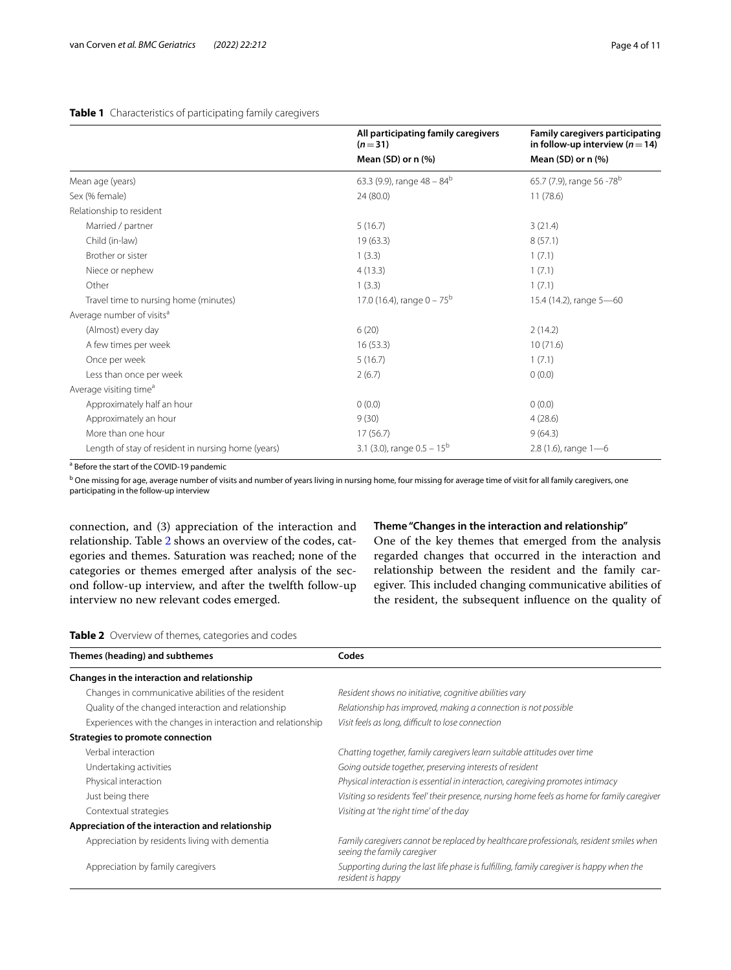#### <span id="page-3-0"></span>**Table 1** Characteristics of participating family caregivers

|                                                    | All participating family caregivers<br>$(n=31)$<br>Mean (SD) or $n$ (%) | Family caregivers participating<br>in follow-up interview ( $n = 14$ )<br>Mean (SD) or $n$ (%) |
|----------------------------------------------------|-------------------------------------------------------------------------|------------------------------------------------------------------------------------------------|
|                                                    |                                                                         |                                                                                                |
| Mean age (years)                                   | 63.3 (9.9), range $48 - 84^b$                                           | 65.7 (7.9), range 56 -78 <sup>b</sup>                                                          |
| Sex (% female)                                     | 24 (80.0)                                                               | 11(78.6)                                                                                       |
| Relationship to resident                           |                                                                         |                                                                                                |
| Married / partner                                  | 5(16.7)                                                                 | 3(21.4)                                                                                        |
| Child (in-law)                                     | 19(63.3)                                                                | 8(57.1)                                                                                        |
| Brother or sister                                  | 1(3.3)                                                                  | 1(7.1)                                                                                         |
| Niece or nephew                                    | 4(13.3)                                                                 | 1(7.1)                                                                                         |
| Other                                              | 1(3.3)                                                                  | 1(7.1)                                                                                         |
| Travel time to nursing home (minutes)              | 17.0 (16.4), range $0 - 75^{\rm b}$                                     | 15.4 (14.2), range 5-60                                                                        |
| Average number of visits <sup>a</sup>              |                                                                         |                                                                                                |
| (Almost) every day                                 | 6(20)                                                                   | 2(14.2)                                                                                        |
| A few times per week                               | 16(53.3)                                                                | 10(71.6)                                                                                       |
| Once per week                                      | 5(16.7)                                                                 | 1(7.1)                                                                                         |
| Less than once per week                            | 2(6.7)                                                                  | 0(0.0)                                                                                         |
| Average visiting time <sup>a</sup>                 |                                                                         |                                                                                                |
| Approximately half an hour                         | 0(0.0)                                                                  | 0(0.0)                                                                                         |
| Approximately an hour                              | 9(30)                                                                   | 4(28.6)                                                                                        |
| More than one hour                                 | 17(56.7)                                                                | 9(64.3)                                                                                        |
| Length of stay of resident in nursing home (years) | 3.1 (3.0), range $0.5 - 15^{\text{b}}$                                  | 2.8 (1.6), range $1-6$                                                                         |

<sup>a</sup> Before the start of the COVID-19 pandemic

<sup>b</sup> One missing for age, average number of visits and number of years living in nursing home, four missing for average time of visit for all family caregivers, one participating in the follow-up interview

connection, and (3) appreciation of the interaction and relationship. Table [2](#page-3-1) shows an overview of the codes, categories and themes. Saturation was reached; none of the categories or themes emerged after analysis of the second follow-up interview, and after the twelfth follow-up interview no new relevant codes emerged.

#### **Theme "Changes in the interaction and relationship"**

One of the key themes that emerged from the analysis regarded changes that occurred in the interaction and relationship between the resident and the family caregiver. This included changing communicative abilities of the resident, the subsequent infuence on the quality of

<span id="page-3-1"></span>

| Themes (heading) and subthemes                               | Codes                                                                                                                 |  |
|--------------------------------------------------------------|-----------------------------------------------------------------------------------------------------------------------|--|
| Changes in the interaction and relationship                  |                                                                                                                       |  |
| Changes in communicative abilities of the resident           | Resident shows no initiative, cognitive abilities vary                                                                |  |
| Quality of the changed interaction and relationship          | Relationship has improved, making a connection is not possible                                                        |  |
| Experiences with the changes in interaction and relationship | Visit feels as long, difficult to lose connection                                                                     |  |
| Strategies to promote connection                             |                                                                                                                       |  |
| Verbal interaction                                           | Chatting together, family caregivers learn suitable attitudes over time                                               |  |
| Undertaking activities                                       | Going outside together, preserving interests of resident                                                              |  |
| Physical interaction                                         | Physical interaction is essential in interaction, caregiving promotes intimacy                                        |  |
| Just being there                                             | Visiting so residents 'feel' their presence, nursing home feels as home for family caregiver                          |  |
| Contextual strategies                                        | Visiting at 'the right time' of the day                                                                               |  |
| Appreciation of the interaction and relationship             |                                                                                                                       |  |
| Appreciation by residents living with dementia               | Family caregivers cannot be replaced by healthcare professionals, resident smiles when<br>seeing the family caregiver |  |
| Appreciation by family caregivers                            | Supporting during the last life phase is fulfilling, family caregiver is happy when the<br>resident is happy          |  |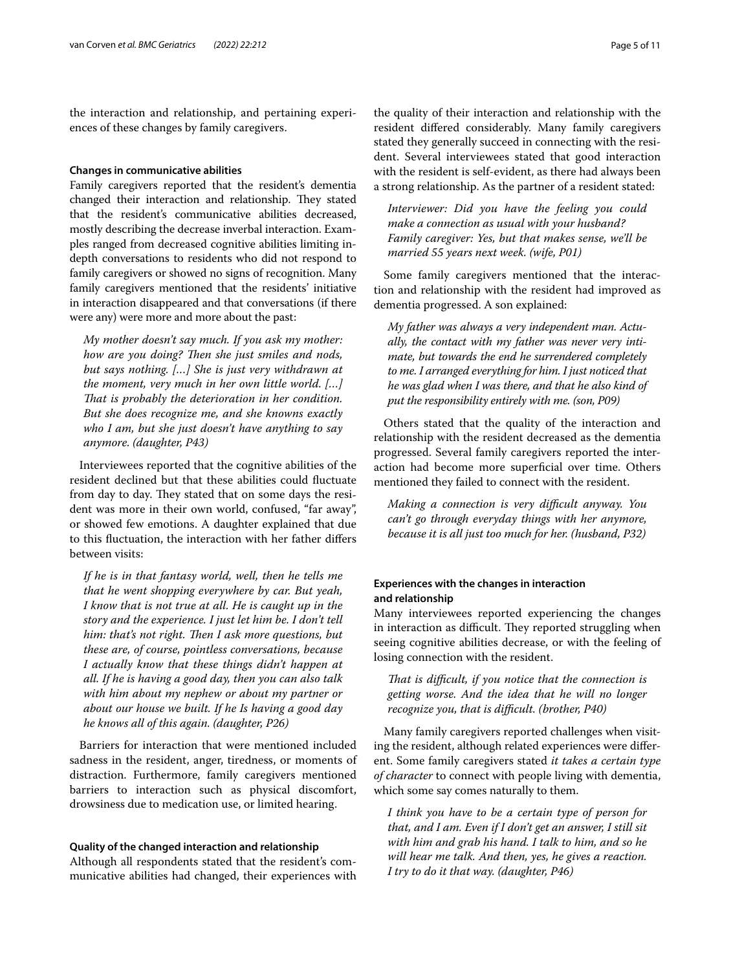the interaction and relationship, and pertaining experiences of these changes by family caregivers.

#### **Changes in communicative abilities**

Family caregivers reported that the resident's dementia changed their interaction and relationship. They stated that the resident's communicative abilities decreased, mostly describing the decrease inverbal interaction. Examples ranged from decreased cognitive abilities limiting indepth conversations to residents who did not respond to family caregivers or showed no signs of recognition. Many family caregivers mentioned that the residents' initiative in interaction disappeared and that conversations (if there were any) were more and more about the past:

*My mother doesn't say much. If you ask my mother: how are you doing? Then she just smiles and nods, but says nothing. […] She is just very withdrawn at the moment, very much in her own little world. […] Tat is probably the deterioration in her condition. But she does recognize me, and she knowns exactly who I am, but she just doesn't have anything to say anymore. (daughter, P43)*

Interviewees reported that the cognitive abilities of the resident declined but that these abilities could fuctuate from day to day. They stated that on some days the resident was more in their own world, confused, "far away", or showed few emotions. A daughter explained that due to this fuctuation, the interaction with her father difers between visits:

*If he is in that fantasy world, well, then he tells me that he went shopping everywhere by car. But yeah, I know that is not true at all. He is caught up in the story and the experience. I just let him be. I don't tell him: that's not right. Then I ask more questions, but these are, of course, pointless conversations, because I actually know that these things didn't happen at all. If he is having a good day, then you can also talk with him about my nephew or about my partner or about our house we built. If he Is having a good day he knows all of this again. (daughter, P26)*

Barriers for interaction that were mentioned included sadness in the resident, anger, tiredness, or moments of distraction. Furthermore, family caregivers mentioned barriers to interaction such as physical discomfort, drowsiness due to medication use, or limited hearing.

#### **Quality of the changed interaction and relationship**

Although all respondents stated that the resident's communicative abilities had changed, their experiences with

the quality of their interaction and relationship with the resident difered considerably. Many family caregivers stated they generally succeed in connecting with the resident. Several interviewees stated that good interaction with the resident is self-evident, as there had always been a strong relationship. As the partner of a resident stated:

*Interviewer: Did you have the feeling you could make a connection as usual with your husband? Family caregiver: Yes, but that makes sense, we'll be married 55 years next week. (wife, P01)*

Some family caregivers mentioned that the interaction and relationship with the resident had improved as dementia progressed. A son explained:

*My father was always a very independent man. Actually, the contact with my father was never very intimate, but towards the end he surrendered completely to me. I arranged everything for him. I just noticed that he was glad when I was there, and that he also kind of put the responsibility entirely with me. (son, P09)*

Others stated that the quality of the interaction and relationship with the resident decreased as the dementia progressed. Several family caregivers reported the interaction had become more superficial over time. Others mentioned they failed to connect with the resident.

*Making a connection is very difcult anyway. You can't go through everyday things with her anymore, because it is all just too much for her. (husband, P32)*

#### **Experiences with the changes in interaction and relationship**

Many interviewees reported experiencing the changes in interaction as difficult. They reported struggling when seeing cognitive abilities decrease, or with the feeling of losing connection with the resident.

*Tat is difcult, if you notice that the connection is getting worse. And the idea that he will no longer recognize you, that is difcult. (brother, P40)*

Many family caregivers reported challenges when visiting the resident, although related experiences were diferent. Some family caregivers stated *it takes a certain type of character* to connect with people living with dementia, which some say comes naturally to them.

*I think you have to be a certain type of person for that, and I am. Even if I don't get an answer, I still sit with him and grab his hand. I talk to him, and so he will hear me talk. And then, yes, he gives a reaction. I try to do it that way. (daughter, P46)*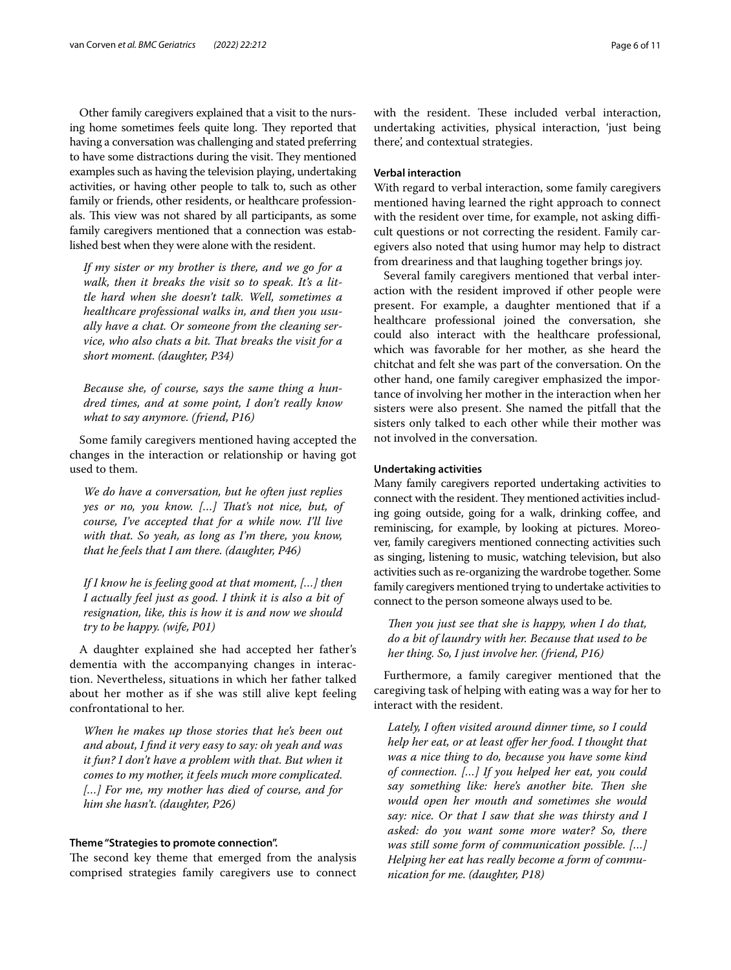Other family caregivers explained that a visit to the nursing home sometimes feels quite long. They reported that having a conversation was challenging and stated preferring to have some distractions during the visit. They mentioned examples such as having the television playing, undertaking activities, or having other people to talk to, such as other family or friends, other residents, or healthcare professionals. This view was not shared by all participants, as some family caregivers mentioned that a connection was established best when they were alone with the resident.

*If my sister or my brother is there, and we go for a walk, then it breaks the visit so to speak. It's a little hard when she doesn't talk. Well, sometimes a healthcare professional walks in, and then you usually have a chat. Or someone from the cleaning service, who also chats a bit. Tat breaks the visit for a short moment. (daughter, P34)*

*Because she, of course, says the same thing a hundred times, and at some point, I don't really know what to say anymore. (friend, P16)*

Some family caregivers mentioned having accepted the changes in the interaction or relationship or having got used to them.

*We do have a conversation, but he often just replies yes or no, you know. […] Tat's not nice, but, of course, I've accepted that for a while now. I'll live with that. So yeah, as long as I'm there, you know, that he feels that I am there. (daughter, P46)*

*If I know he is feeling good at that moment, […] then I actually feel just as good. I think it is also a bit of resignation, like, this is how it is and now we should try to be happy. (wife, P01)*

A daughter explained she had accepted her father's dementia with the accompanying changes in interaction. Nevertheless, situations in which her father talked about her mother as if she was still alive kept feeling confrontational to her.

*When he makes up those stories that he's been out and about, I fnd it very easy to say: oh yeah and was it fun? I don't have a problem with that. But when it comes to my mother, it feels much more complicated. […] For me, my mother has died of course, and for him she hasn't. (daughter, P26)*

#### **Theme "Strategies to promote connection".**

The second key theme that emerged from the analysis comprised strategies family caregivers use to connect with the resident. These included verbal interaction, undertaking activities, physical interaction, 'just being there', and contextual strategies.

#### **Verbal interaction**

With regard to verbal interaction, some family caregivers mentioned having learned the right approach to connect with the resident over time, for example, not asking difficult questions or not correcting the resident. Family caregivers also noted that using humor may help to distract from dreariness and that laughing together brings joy.

Several family caregivers mentioned that verbal interaction with the resident improved if other people were present. For example, a daughter mentioned that if a healthcare professional joined the conversation, she could also interact with the healthcare professional, which was favorable for her mother, as she heard the chitchat and felt she was part of the conversation. On the other hand, one family caregiver emphasized the importance of involving her mother in the interaction when her sisters were also present. She named the pitfall that the sisters only talked to each other while their mother was not involved in the conversation.

#### **Undertaking activities**

Many family caregivers reported undertaking activities to connect with the resident. They mentioned activities including going outside, going for a walk, drinking coffee, and reminiscing, for example, by looking at pictures. Moreover, family caregivers mentioned connecting activities such as singing, listening to music, watching television, but also activities such as re-organizing the wardrobe together. Some family caregivers mentioned trying to undertake activities to connect to the person someone always used to be.

*Then you just see that she is happy, when I do that, do a bit of laundry with her. Because that used to be her thing. So, I just involve her. (friend, P16)*

Furthermore, a family caregiver mentioned that the caregiving task of helping with eating was a way for her to interact with the resident.

*Lately, I often visited around dinner time, so I could help her eat, or at least ofer her food. I thought that was a nice thing to do, because you have some kind of connection. […] If you helped her eat, you could*  say something like: here's another bite. Then she *would open her mouth and sometimes she would say: nice. Or that I saw that she was thirsty and I asked: do you want some more water? So, there was still some form of communication possible. […] Helping her eat has really become a form of communication for me. (daughter, P18)*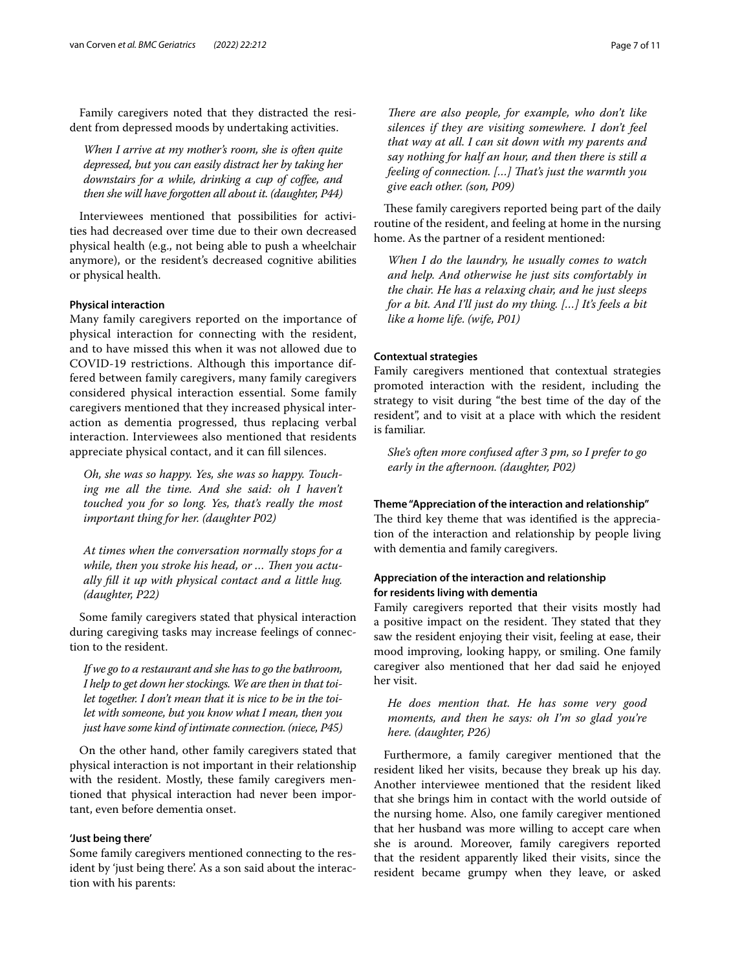Family caregivers noted that they distracted the resident from depressed moods by undertaking activities.

*When I arrive at my mother's room, she is often quite depressed, but you can easily distract her by taking her downstairs for a while, drinking a cup of cofee, and then she will have forgotten all about it. (daughter, P44)*

Interviewees mentioned that possibilities for activities had decreased over time due to their own decreased physical health (e.g., not being able to push a wheelchair anymore), or the resident's decreased cognitive abilities or physical health.

#### **Physical interaction**

Many family caregivers reported on the importance of physical interaction for connecting with the resident, and to have missed this when it was not allowed due to COVID-19 restrictions. Although this importance differed between family caregivers, many family caregivers considered physical interaction essential. Some family caregivers mentioned that they increased physical interaction as dementia progressed, thus replacing verbal interaction. Interviewees also mentioned that residents appreciate physical contact, and it can fll silences.

*Oh, she was so happy. Yes, she was so happy. Touching me all the time. And she said: oh I haven't touched you for so long. Yes, that's really the most important thing for her. (daughter P02)*

*At times when the conversation normally stops for a*  while, then you stroke his head, or ... Then you actu*ally fll it up with physical contact and a little hug. (daughter, P22)*

Some family caregivers stated that physical interaction during caregiving tasks may increase feelings of connection to the resident.

*If we go to a restaurant and she has to go the bathroom, I help to get down her stockings. We are then in that toilet together. I don't mean that it is nice to be in the toilet with someone, but you know what I mean, then you just have some kind of intimate connection. (niece, P45)*

On the other hand, other family caregivers stated that physical interaction is not important in their relationship with the resident. Mostly, these family caregivers mentioned that physical interaction had never been important, even before dementia onset.

#### **'Just being there'**

Some family caregivers mentioned connecting to the resident by 'just being there'. As a son said about the interaction with his parents:

*There are also people, for example, who don't like silences if they are visiting somewhere. I don't feel that way at all. I can sit down with my parents and say nothing for half an hour, and then there is still a feeling of connection. […] Tat's just the warmth you give each other. (son, P09)*

These family caregivers reported being part of the daily routine of the resident, and feeling at home in the nursing home. As the partner of a resident mentioned:

*When I do the laundry, he usually comes to watch and help. And otherwise he just sits comfortably in the chair. He has a relaxing chair, and he just sleeps for a bit. And I'll just do my thing. […] It's feels a bit like a home life. (wife, P01)*

#### **Contextual strategies**

Family caregivers mentioned that contextual strategies promoted interaction with the resident, including the strategy to visit during "the best time of the day of the resident", and to visit at a place with which the resident is familiar.

*She's often more confused after 3 pm, so I prefer to go early in the afternoon. (daughter, P02)*

#### **Theme "Appreciation of the interaction and relationship"**

The third key theme that was identified is the appreciation of the interaction and relationship by people living with dementia and family caregivers.

#### **Appreciation of the interaction and relationship for residents living with dementia**

Family caregivers reported that their visits mostly had a positive impact on the resident. They stated that they saw the resident enjoying their visit, feeling at ease, their mood improving, looking happy, or smiling. One family caregiver also mentioned that her dad said he enjoyed her visit.

*He does mention that. He has some very good moments, and then he says: oh I'm so glad you're here. (daughter, P26)*

Furthermore, a family caregiver mentioned that the resident liked her visits, because they break up his day. Another interviewee mentioned that the resident liked that she brings him in contact with the world outside of the nursing home. Also, one family caregiver mentioned that her husband was more willing to accept care when she is around. Moreover, family caregivers reported that the resident apparently liked their visits, since the resident became grumpy when they leave, or asked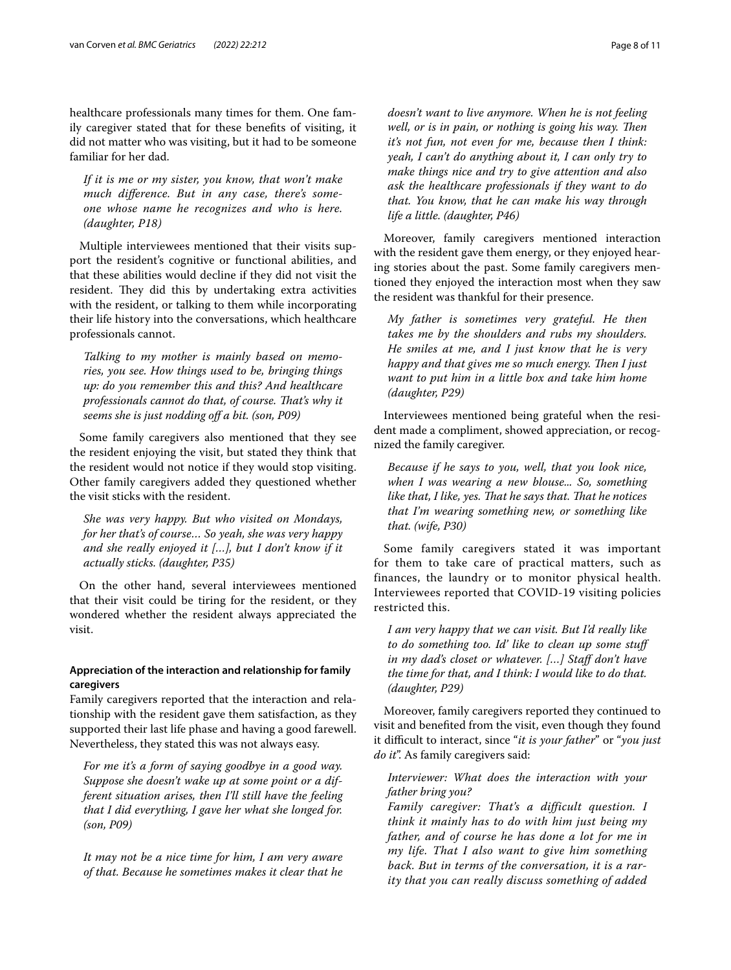healthcare professionals many times for them. One family caregiver stated that for these benefts of visiting, it did not matter who was visiting, but it had to be someone familiar for her dad.

*If it is me or my sister, you know, that won't make much diference. But in any case, there's someone whose name he recognizes and who is here. (daughter, P18)*

Multiple interviewees mentioned that their visits support the resident's cognitive or functional abilities, and that these abilities would decline if they did not visit the resident. They did this by undertaking extra activities with the resident, or talking to them while incorporating their life history into the conversations, which healthcare professionals cannot.

*Talking to my mother is mainly based on memories, you see. How things used to be, bringing things up: do you remember this and this? And healthcare professionals cannot do that, of course. Tat's why it seems she is just nodding of a bit. (son, P09)*

Some family caregivers also mentioned that they see the resident enjoying the visit, but stated they think that the resident would not notice if they would stop visiting. Other family caregivers added they questioned whether the visit sticks with the resident.

*She was very happy. But who visited on Mondays, for her that's of course… So yeah, she was very happy and she really enjoyed it […], but I don't know if it actually sticks. (daughter, P35)*

On the other hand, several interviewees mentioned that their visit could be tiring for the resident, or they wondered whether the resident always appreciated the visit.

#### **Appreciation of the interaction and relationship for family caregivers**

Family caregivers reported that the interaction and relationship with the resident gave them satisfaction, as they supported their last life phase and having a good farewell. Nevertheless, they stated this was not always easy.

*For me it's a form of saying goodbye in a good way. Suppose she doesn't wake up at some point or a different situation arises, then I'll still have the feeling that I did everything, I gave her what she longed for. (son, P09)*

*It may not be a nice time for him, I am very aware of that. Because he sometimes makes it clear that he*  *doesn't want to live anymore. When he is not feeling well, or is in pain, or nothing is going his way. Then it's not fun, not even for me, because then I think: yeah, I can't do anything about it, I can only try to make things nice and try to give attention and also ask the healthcare professionals if they want to do that. You know, that he can make his way through life a little. (daughter, P46)*

Moreover, family caregivers mentioned interaction with the resident gave them energy, or they enjoyed hearing stories about the past. Some family caregivers mentioned they enjoyed the interaction most when they saw the resident was thankful for their presence.

*My father is sometimes very grateful. He then takes me by the shoulders and rubs my shoulders. He smiles at me, and I just know that he is very happy and that gives me so much energy. Then I just want to put him in a little box and take him home (daughter, P29)*

Interviewees mentioned being grateful when the resident made a compliment, showed appreciation, or recognized the family caregiver.

*Because if he says to you, well, that you look nice, when I was wearing a new blouse... So, something like that, I like, yes. That he says that. That he notices that I'm wearing something new, or something like that. (wife, P30)*

Some family caregivers stated it was important for them to take care of practical matters, such as finances, the laundry or to monitor physical health. Interviewees reported that COVID-19 visiting policies restricted this.

*I am very happy that we can visit. But I'd really like to do something too. Id' like to clean up some stuf in my dad's closet or whatever. […] Staf don't have the time for that, and I think: I would like to do that. (daughter, P29)*

Moreover, family caregivers reported they continued to visit and benefted from the visit, even though they found it difcult to interact, since "*it is your father*" or "*you just do it*". As family caregivers said:

*Interviewer: What does the interaction with your father bring you?*

*Family caregiver: That's a difficult question. I think it mainly has to do with him just being my father, and of course he has done a lot for me in my life. That I also want to give him something back. But in terms of the conversation, it is a rarity that you can really discuss something of added*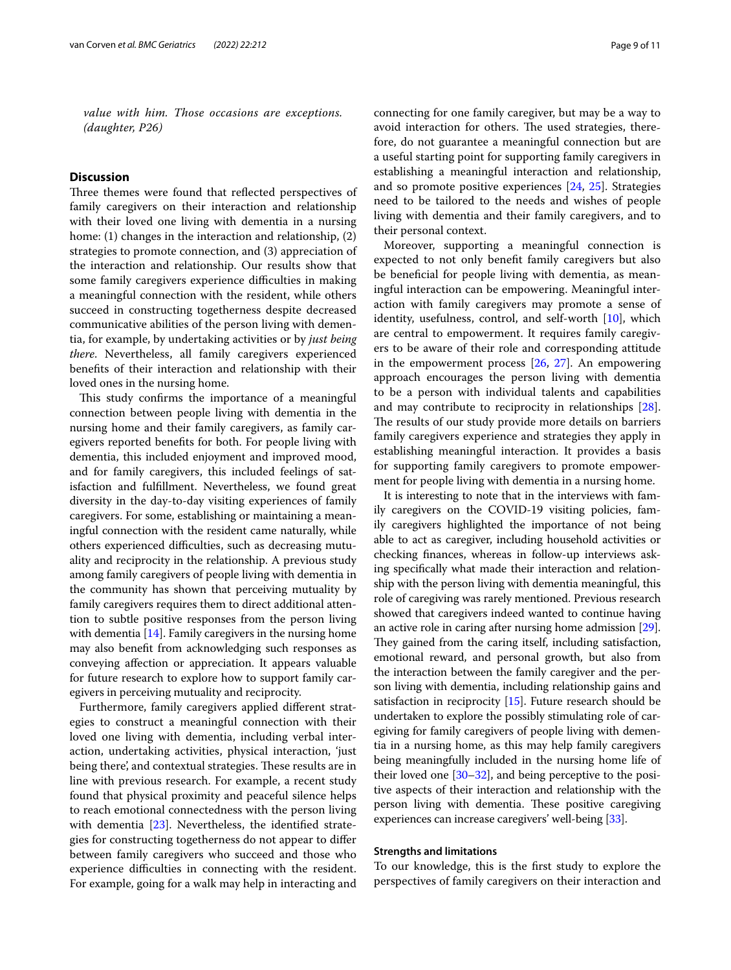*value with him. Those occasions are exceptions. (daughter, P26)*

#### **Discussion**

Three themes were found that reflected perspectives of family caregivers on their interaction and relationship with their loved one living with dementia in a nursing home: (1) changes in the interaction and relationship, (2) strategies to promote connection, and (3) appreciation of the interaction and relationship. Our results show that some family caregivers experience difficulties in making a meaningful connection with the resident, while others succeed in constructing togetherness despite decreased communicative abilities of the person living with dementia, for example, by undertaking activities or by *just being there*. Nevertheless, all family caregivers experienced benefts of their interaction and relationship with their loved ones in the nursing home.

This study confirms the importance of a meaningful connection between people living with dementia in the nursing home and their family caregivers, as family caregivers reported benefts for both. For people living with dementia, this included enjoyment and improved mood, and for family caregivers, this included feelings of satisfaction and fulfllment. Nevertheless, we found great diversity in the day-to-day visiting experiences of family caregivers. For some, establishing or maintaining a meaningful connection with the resident came naturally, while others experienced difficulties, such as decreasing mutuality and reciprocity in the relationship. A previous study among family caregivers of people living with dementia in the community has shown that perceiving mutuality by family caregivers requires them to direct additional attention to subtle positive responses from the person living with dementia [\[14\]](#page-10-13). Family caregivers in the nursing home may also beneft from acknowledging such responses as conveying afection or appreciation. It appears valuable for future research to explore how to support family caregivers in perceiving mutuality and reciprocity.

Furthermore, family caregivers applied diferent strategies to construct a meaningful connection with their loved one living with dementia, including verbal interaction, undertaking activities, physical interaction, 'just being there, and contextual strategies. These results are in line with previous research. For example, a recent study found that physical proximity and peaceful silence helps to reach emotional connectedness with the person living with dementia [[23\]](#page-10-21). Nevertheless, the identified strategies for constructing togetherness do not appear to difer between family caregivers who succeed and those who experience difficulties in connecting with the resident. For example, going for a walk may help in interacting and connecting for one family caregiver, but may be a way to avoid interaction for others. The used strategies, therefore, do not guarantee a meaningful connection but are a useful starting point for supporting family caregivers in establishing a meaningful interaction and relationship, and so promote positive experiences [[24](#page-10-22), [25\]](#page-10-23). Strategies need to be tailored to the needs and wishes of people living with dementia and their family caregivers, and to their personal context.

Moreover, supporting a meaningful connection is expected to not only beneft family caregivers but also be benefcial for people living with dementia, as meaningful interaction can be empowering. Meaningful interaction with family caregivers may promote a sense of identity, usefulness, control, and self-worth [[10](#page-10-9)], which are central to empowerment. It requires family caregivers to be aware of their role and corresponding attitude in the empowerment process [[26](#page-10-24), [27\]](#page-10-25). An empowering approach encourages the person living with dementia to be a person with individual talents and capabilities and may contribute to reciprocity in relationships [\[28](#page-10-26)]. The results of our study provide more details on barriers family caregivers experience and strategies they apply in establishing meaningful interaction. It provides a basis for supporting family caregivers to promote empowerment for people living with dementia in a nursing home.

It is interesting to note that in the interviews with family caregivers on the COVID-19 visiting policies, family caregivers highlighted the importance of not being able to act as caregiver, including household activities or checking fnances, whereas in follow-up interviews asking specifcally what made their interaction and relationship with the person living with dementia meaningful, this role of caregiving was rarely mentioned. Previous research showed that caregivers indeed wanted to continue having an active role in caring after nursing home admission [[29](#page-10-27)]. They gained from the caring itself, including satisfaction, emotional reward, and personal growth, but also from the interaction between the family caregiver and the person living with dementia, including relationship gains and satisfaction in reciprocity [\[15\]](#page-10-28). Future research should be undertaken to explore the possibly stimulating role of caregiving for family caregivers of people living with dementia in a nursing home, as this may help family caregivers being meaningfully included in the nursing home life of their loved one [[30](#page-10-29)[–32\]](#page-10-30), and being perceptive to the positive aspects of their interaction and relationship with the person living with dementia. These positive caregiving experiences can increase caregivers' well-being [\[33](#page-10-31)].

#### **Strengths and limitations**

To our knowledge, this is the frst study to explore the perspectives of family caregivers on their interaction and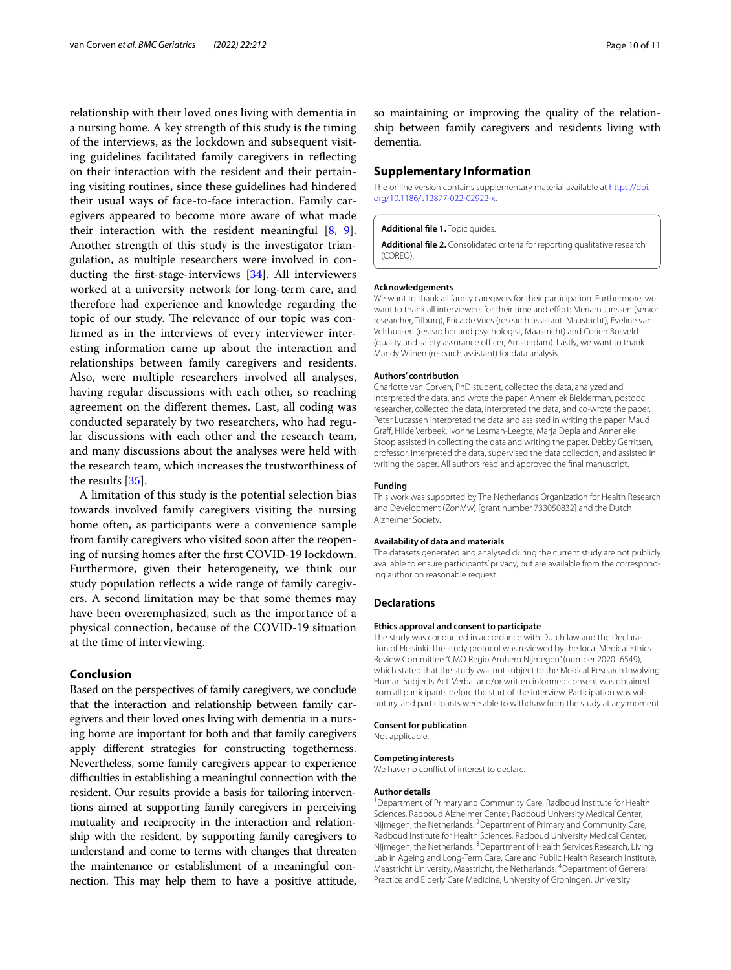relationship with their loved ones living with dementia in a nursing home. A key strength of this study is the timing of the interviews, as the lockdown and subsequent visiting guidelines facilitated family caregivers in refecting on their interaction with the resident and their pertaining visiting routines, since these guidelines had hindered their usual ways of face-to-face interaction. Family caregivers appeared to become more aware of what made their interaction with the resident meaningful [[8,](#page-10-7) [9](#page-10-8)]. Another strength of this study is the investigator triangulation, as multiple researchers were involved in conducting the frst-stage-interviews [[34\]](#page-10-32). All interviewers worked at a university network for long-term care, and therefore had experience and knowledge regarding the topic of our study. The relevance of our topic was confrmed as in the interviews of every interviewer interesting information came up about the interaction and relationships between family caregivers and residents. Also, were multiple researchers involved all analyses, having regular discussions with each other, so reaching agreement on the diferent themes. Last, all coding was conducted separately by two researchers, who had regular discussions with each other and the research team, and many discussions about the analyses were held with the research team, which increases the trustworthiness of the results [[35](#page-10-33)].

A limitation of this study is the potential selection bias towards involved family caregivers visiting the nursing home often, as participants were a convenience sample from family caregivers who visited soon after the reopening of nursing homes after the frst COVID-19 lockdown. Furthermore, given their heterogeneity, we think our study population refects a wide range of family caregivers. A second limitation may be that some themes may have been overemphasized, such as the importance of a physical connection, because of the COVID-19 situation at the time of interviewing.

#### **Conclusion**

Based on the perspectives of family caregivers, we conclude that the interaction and relationship between family caregivers and their loved ones living with dementia in a nursing home are important for both and that family caregivers apply diferent strategies for constructing togetherness. Nevertheless, some family caregivers appear to experience difculties in establishing a meaningful connection with the resident. Our results provide a basis for tailoring interventions aimed at supporting family caregivers in perceiving mutuality and reciprocity in the interaction and relationship with the resident, by supporting family caregivers to understand and come to terms with changes that threaten the maintenance or establishment of a meaningful connection. This may help them to have a positive attitude,

so maintaining or improving the quality of the relationship between family caregivers and residents living with dementia.

#### **Supplementary Information**

The online version contains supplementary material available at [https://doi.](https://doi.org/10.1186/s12877-022-02922-x) [org/10.1186/s12877-022-02922-x.](https://doi.org/10.1186/s12877-022-02922-x)

#### <span id="page-9-1"></span><span id="page-9-0"></span>**Additional fle 1.** Topic guides.

**Additional fle 2.** Consolidated criteria for reporting qualitative research (COREQ).

#### **Acknowledgements**

We want to thank all family caregivers for their participation. Furthermore, we want to thank all interviewers for their time and effort: Meriam Janssen (senior researcher, Tilburg), Erica de Vries (research assistant, Maastricht), Eveline van Velthuijsen (researcher and psychologist, Maastricht) and Corien Bosveld (quality and safety assurance officer, Amsterdam). Lastly, we want to thank Mandy Wijnen (research assistant) for data analysis.

#### **Authors' contribution**

Charlotte van Corven, PhD student, collected the data, analyzed and interpreted the data, and wrote the paper. Annemiek Bielderman, postdoc researcher, collected the data, interpreted the data, and co-wrote the paper. Peter Lucassen interpreted the data and assisted in writing the paper. Maud Graf, Hilde Verbeek, Ivonne Lesman-Leegte, Marja Depla and Annerieke Stoop assisted in collecting the data and writing the paper. Debby Gerritsen, professor, interpreted the data, supervised the data collection, and assisted in writing the paper. All authors read and approved the fnal manuscript.

#### **Funding**

This work was supported by The Netherlands Organization for Health Research and Development (ZonMw) [grant number 733050832] and the Dutch Alzheimer Society.

#### **Availability of data and materials**

The datasets generated and analysed during the current study are not publicly available to ensure participants' privacy, but are available from the corresponding author on reasonable request.

#### **Declarations**

#### **Ethics approval and consent to participate**

The study was conducted in accordance with Dutch law and the Declaration of Helsinki. The study protocol was reviewed by the local Medical Ethics Review Committee "CMO Regio Arnhem Nijmegen" (number 2020–6549), which stated that the study was not subject to the Medical Research Involving Human Subjects Act. Verbal and/or written informed consent was obtained from all participants before the start of the interview. Participation was voluntary, and participants were able to withdraw from the study at any moment.

#### **Consent for publication**

Not applicable.

#### **Competing interests**

We have no confict of interest to declare.

#### **Author details**

<sup>1</sup> Department of Primary and Community Care, Radboud Institute for Health Sciences, Radboud Alzheimer Center, Radboud University Medical Center, Nijmegen, the Netherlands. <sup>2</sup> Department of Primary and Community Care, Radboud Institute for Health Sciences, Radboud University Medical Center, Nijmegen, the Netherlands. <sup>3</sup> Department of Health Services Research, Living Lab in Ageing and Long‑Term Care, Care and Public Health Research Institute, Maastricht University, Maastricht, the Netherlands. <sup>4</sup> Department of General Practice and Elderly Care Medicine, University of Groningen, University